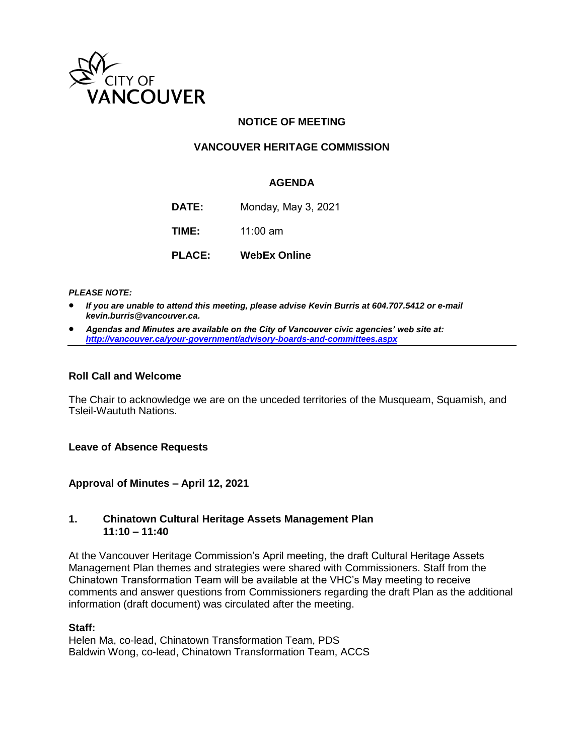

## **NOTICE OF MEETING**

### **VANCOUVER HERITAGE COMMISSION**

#### **AGENDA**

**DATE:** Monday, May 3, 2021

**TIME:** 11:00 am

**PLACE: WebEx Online**

*PLEASE NOTE:*

- *If you are unable to attend this meeting, please advise Kevin Burris at 604.707.5412 or e-mail kevin.burris@vancouver.ca.*
- *Agendas and Minutes are available on the City of Vancouver civic agencies' web site at: <http://vancouver.ca/your-government/advisory-boards-and-committees.aspx>*

#### **Roll Call and Welcome**

The Chair to acknowledge we are on the unceded territories of the Musqueam, Squamish, and Tsleil-Waututh Nations.

**Leave of Absence Requests** 

**Approval of Minutes – April 12, 2021**

#### **1. Chinatown Cultural Heritage Assets Management Plan 11:10 – 11:40**

At the Vancouver Heritage Commission's April meeting, the draft Cultural Heritage Assets Management Plan themes and strategies were shared with Commissioners. Staff from the Chinatown Transformation Team will be available at the VHC's May meeting to receive comments and answer questions from Commissioners regarding the draft Plan as the additional information (draft document) was circulated after the meeting.

#### **Staff:**

Helen Ma, co-lead, Chinatown Transformation Team, PDS Baldwin Wong, co-lead, Chinatown Transformation Team, ACCS